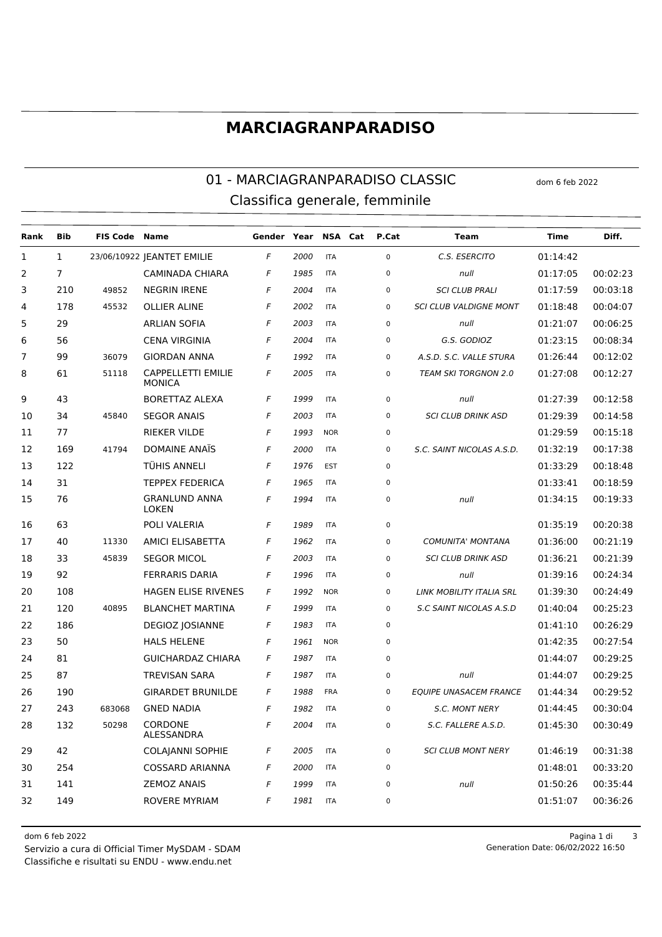## **MARCIAGRANPARADISO**

#### 01 - MARCIAGRANPARADISO CLASSIC dom 6 feb 2022 Classifica generale, femminile

| Rank           | <b>Bib</b>     | <b>FIS Code Name</b> |                                            | Gender Year |      | NSA Cat    | P.Cat       | <b>Team</b>                   | Time     | Diff.    |
|----------------|----------------|----------------------|--------------------------------------------|-------------|------|------------|-------------|-------------------------------|----------|----------|
| $\mathbf{1}$   | $\mathbf{1}$   |                      | 23/06/10922   EANTET EMILIE                | F           | 2000 | <b>ITA</b> | $\mathbf 0$ | C.S. ESERCITO                 | 01:14:42 |          |
| 2              | $\overline{7}$ |                      | <b>CAMINADA CHIARA</b>                     | F           | 1985 | <b>ITA</b> | $\mathbf 0$ | null                          | 01:17:05 | 00:02:23 |
| 3              | 210            | 49852                | <b>NEGRIN IRENE</b>                        | F           | 2004 | <b>ITA</b> | $\pmb{0}$   | <b>SCI CLUB PRALI</b>         | 01:17:59 | 00:03:18 |
| 4              | 178            | 45532                | <b>OLLIER ALINE</b>                        | F           | 2002 | <b>ITA</b> | $\mathbf 0$ | <b>SCI CLUB VALDIGNE MONT</b> | 01:18:48 | 00:04:07 |
| 5              | 29             |                      | <b>ARLIAN SOFIA</b>                        | F           | 2003 | <b>ITA</b> | $\mathbf 0$ | null                          | 01:21:07 | 00:06:25 |
| 6              | 56             |                      | <b>CENA VIRGINIA</b>                       | F           | 2004 | <b>ITA</b> | $\mathbf 0$ | G.S. GODIOZ                   | 01:23:15 | 00:08:34 |
| $\overline{7}$ | 99             | 36079                | <b>GIORDAN ANNA</b>                        | F           | 1992 | <b>ITA</b> | 0           | A.S.D. S.C. VALLE STURA       | 01:26:44 | 00:12:02 |
| 8              | 61             | 51118                | <b>CAPPELLETTI EMILIE</b><br><b>MONICA</b> | F           | 2005 | <b>ITA</b> | $\mathbf 0$ | <b>TEAM SKI TORGNON 2.0</b>   | 01:27:08 | 00:12:27 |
| 9              | 43             |                      | <b>BORETTAZ ALEXA</b>                      | F           | 1999 | <b>ITA</b> | $\mathbf 0$ | null                          | 01:27:39 | 00:12:58 |
| 10             | 34             | 45840                | <b>SEGOR ANAIS</b>                         | F           | 2003 | <b>ITA</b> | $\pmb{0}$   | <b>SCI CLUB DRINK ASD</b>     | 01:29:39 | 00:14:58 |
| 11             | 77             |                      | <b>RIEKER VILDE</b>                        | F           | 1993 | <b>NOR</b> | $\mathbf 0$ |                               | 01:29:59 | 00:15:18 |
| 12             | 169            | 41794                | DOMAINE ANAÏS                              | F           | 2000 | <b>ITA</b> | $\mathbf 0$ | S.C. SAINT NICOLAS A.S.D.     | 01:32:19 | 00:17:38 |
| 13             | 122            |                      | TÜHIS ANNELI                               | F           | 1976 | <b>EST</b> | $\mathbf 0$ |                               | 01:33:29 | 00:18:48 |
| 14             | 31             |                      | <b>TEPPEX FEDERICA</b>                     | F           | 1965 | <b>ITA</b> | 0           |                               | 01:33:41 | 00:18:59 |
| 15             | 76             |                      | <b>GRANLUND ANNA</b><br><b>LOKEN</b>       | F           | 1994 | <b>ITA</b> | $\pmb{0}$   | null                          | 01:34:15 | 00:19:33 |
| 16             | 63             |                      | POLI VALERIA                               | F           | 1989 | <b>ITA</b> | $\mathsf 0$ |                               | 01:35:19 | 00:20:38 |
| 17             | 40             | 11330                | <b>AMICI ELISABETTA</b>                    | F           | 1962 | <b>ITA</b> | $\mathsf 0$ | <b>COMUNITA' MONTANA</b>      | 01:36:00 | 00:21:19 |
| 18             | 33             | 45839                | <b>SEGOR MICOL</b>                         | F           | 2003 | <b>ITA</b> | $\mathsf 0$ | <b>SCI CLUB DRINK ASD</b>     | 01:36:21 | 00:21:39 |
| 19             | 92             |                      | <b>FERRARIS DARIA</b>                      | F           | 1996 | <b>ITA</b> | $\mathsf 0$ | null                          | 01:39:16 | 00:24:34 |
| 20             | 108            |                      | <b>HAGEN ELISE RIVENES</b>                 | F           | 1992 | <b>NOR</b> | $\mathsf 0$ | LINK MOBILITY ITALIA SRL      | 01:39:30 | 00:24:49 |
| 21             | 120            | 40895                | <b>BLANCHET MARTINA</b>                    | F           | 1999 | <b>ITA</b> | $\mathbf 0$ | S.C SAINT NICOLAS A.S.D       | 01:40:04 | 00:25:23 |
| 22             | 186            |                      | <b>DEGIOZ JOSIANNE</b>                     | F           | 1983 | <b>ITA</b> | $\mathsf 0$ |                               | 01:41:10 | 00:26:29 |
| 23             | 50             |                      | <b>HALS HELENE</b>                         | F           | 1961 | <b>NOR</b> | $\mathsf 0$ |                               | 01:42:35 | 00:27:54 |
| 24             | 81             |                      | <b>GUICHARDAZ CHIARA</b>                   | F           | 1987 | <b>ITA</b> | $\mathsf 0$ |                               | 01:44:07 | 00:29:25 |
| 25             | 87             |                      | <b>TREVISAN SARA</b>                       | F           | 1987 | <b>ITA</b> | $\mathsf 0$ | null                          | 01:44:07 | 00:29:25 |
| 26             | 190            |                      | <b>GIRARDET BRUNILDE</b>                   | F           | 1988 | <b>FRA</b> | $\mathsf 0$ | <b>EQUIPE UNASACEM FRANCE</b> | 01:44:34 | 00:29:52 |
| 27             | 243            | 683068               | <b>GNED NADIA</b>                          | F           | 1982 | <b>ITA</b> | $\mathsf 0$ | <b>S.C. MONT NERY</b>         | 01:44:45 | 00:30:04 |
| 28             | 132            | 50298                | CORDONE<br>ALESSANDRA                      | F           | 2004 | <b>ITA</b> | $\pmb{0}$   | S.C. FALLERE A.S.D.           | 01:45:30 | 00:30:49 |
| 29             | 42             |                      | <b>COLAJANNI SOPHIE</b>                    | F           | 2005 | <b>ITA</b> | $\pmb{0}$   | <b>SCI CLUB MONT NERY</b>     | 01:46:19 | 00:31:38 |
| 30             | 254            |                      | COSSARD ARIANNA                            | F           | 2000 | <b>ITA</b> | $\pmb{0}$   |                               | 01:48:01 | 00:33:20 |
| 31             | 141            |                      | <b>ZEMOZ ANAIS</b>                         | F           | 1999 | <b>ITA</b> | $\pmb{0}$   | null                          | 01:50:26 | 00:35:44 |
| 32             | 149            |                      | ROVERE MYRIAM                              | F           | 1981 | <b>ITA</b> | $\pmb{0}$   |                               | 01:51:07 | 00:36:26 |

Classifiche e risultati su ENDU - www.endu.net Servizio a cura di Official Timer MySDAM - SDAM 06/02/2022 16:50

dom 6 feb 2022 Pagina 1 di 3 Generation Date: 06/02/2022 16:50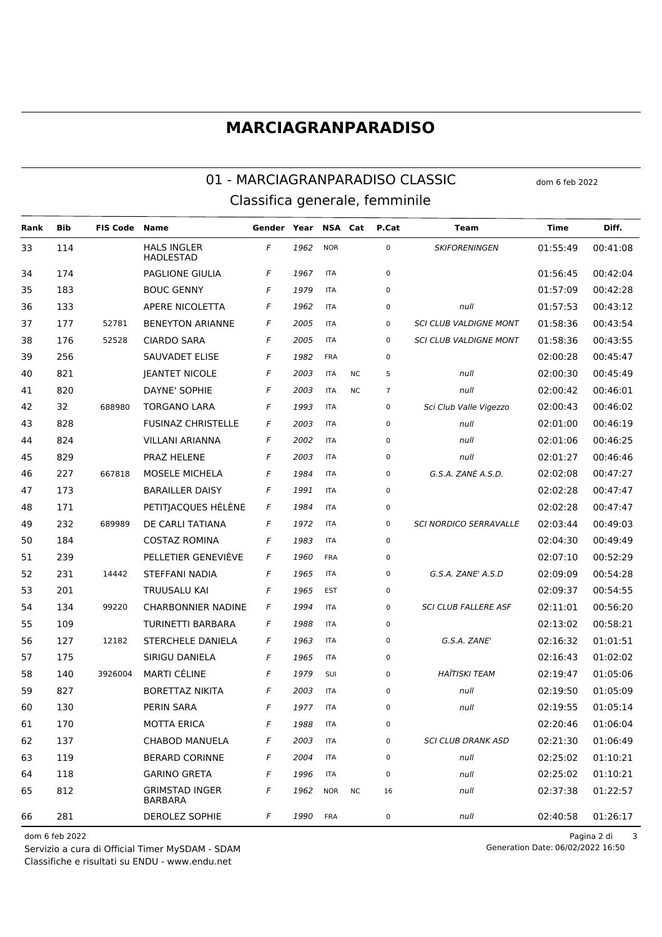### **MARCIAGRANPARADISO**

#### 01 - MARCIAGRANPARADISO CLASSIC Classifica generale, femminile

**Bib FIS Code** Gender Year NSA Cat P.Cat Diff. Rank **Name Team Time**  $33$ 114 **HALS INGLER NOR**  $\Omega$ **SKIFORFNINGFN** 01:55:49 00:41:08  $\overline{F}$ 1962 **HADLESTAD**  $\overline{F}$ PAGLIONE GIULIA 01:56:45 00:42:04 34 174 1967 **ITA**  $\Omega$ 35 183 **BOUC GENNY**  $\overline{F}$ 1979 **ITA**  $\mathbf{0}$ 01:57:09  $00:42:28$ APERE NICOLETTA  $\sqrt{2}$ 1962 01:57:53 00:43:12 36 133 **ITA**  $\mathbf 0$  $null$ 52781 37 177 **BENEYTON ARIANNE**  $\overline{F}$ 2005 **SCLCLUB VALDIGNE MONT** 01:58:36 **ITA**  $\Omega$ 00:43:54 38 176 52528 **CIARDO SARA**  $\overline{F}$ 2005 **ITA SCI CLUB VALDIGNE MONT** 01:58:36 00:43:55  $\mathbf 0$  $39$ 256 SAUVADET ELISE  $\overline{F}$ 1982 FRA 02:00:28  $00.45.47$  $\Omega$  $\overline{F}$ 821 **IEANTET NICOLE**  $02:00:30$ 40 2003 **ITA**  $NC$  $\overline{5}$  $null$ 00:45:49 820 DAYNE' SOPHIE  $\overline{F}$ 2003  $null$ 02:00:42 00:46:01 41 **ITA** N<sub>C</sub>  $\overline{7}$ 688980  $\overline{F}$ 1993 Sci Club Valle Vigezzo  $42$  $32$ **TORGANO LARA ITA**  $\Omega$  $02.00.43$  $00.46.02$ **FUSINAZ CHRISTELLE**  $\overline{F}$ 43 828  $2003$ **ITA**  $\Omega$  $null$ 02:01:00 00:46:19 824 **VILLANI ARIANNA**  $\overline{F}$ 2002 null 02:01:06 44 **ITA**  $\Omega$ 00:46:25  $\overline{r}$ 2003 45 829 PRAZ HFI FNF **ITA**  $null$  $02:01:27$  $00:46:46$  $\mathbf 0$ 667818  $\sqrt{2}$ G.S.A. ZANÈ A.S.D. 46  $227$ MOSELE MICHELA 1984 **ITA**  $\Omega$ 02:02:08 00:47:27 **BARAILLER DAISY**  $\overline{F}$ 1991 47 173 **ITA**  $\Omega$ 02:02:28 00:47:47  $\overline{F}$ 1984 171 PETITIACQUES HÉLÈNE **ITA**  $02.02.28$  $00.47.47$ 48  $\Omega$  $\sqrt{2}$ 49 232 689989 DE CARLI TATIANA 1972 **ITA**  $\Omega$ **SCLNORDICO SERRAVALLE** 02:03:44 00:49:03  $\overline{F}$ 1983 50 184 **COSTAZ ROMINA ITA**  $\overline{0}$ 02:04:30 00:49:49 PELLETIER GENEVIÈVF  $\overline{F}$ 51 239  $1960$ FRA  $02.07.10$ 00:52:29  $\Omega$ 52 231  $14442$ **STEFFANI NADIA**  $\sqrt{2}$ 1965 **ITA**  $\Omega$ G.S.A. ZANE' A.S.D 02:09:09 00:54:28 201  $\overline{F}$ 1965 53 TRUUSALU KAI EST  $\Omega$ 02:09:37 00:54:55  $\overline{F}$ 02:11:01  $54$ 99220 **CHARBONNIER NADINE** 1994 SCLCLUB FALLERE ASE 00:56:20  $134$ **ITA**  $\Omega$ 55 109 **TURINETTI BARBARA**  $\mathsf{F}$ 1988 **ITA**  $\mathbf 0$ 02:13:02 00:58:21 G.S.A. ZANE' 12182 STERCHELE DANIELA  $\overline{F}$ 56 127 1963 **ITA**  $\Omega$ 02:16:32 01:01:51 SIRIGU DANIELA  $\overline{F}$ 1965 57 175 **ITA**  $\Omega$  $02.16.43$  $01.02.02$ 58 140 3926004 **MARTI CÉLINE**  $\sqrt{2}$ 1979 **SUI**  $\mathbf 0$ **HAÏTISKI TFAM** 02:19:47 01:05:06  $\overline{F}$ 59 827 **BORETTAZ NIKITA** 2003 **ITA**  $\Omega$  $null$ 02:19:50 01:05:09 PERIN SARA 60 130  $\sqrt{2}$ 1977 **ITA**  $\Omega$  $null$  $02:19:55$  $01:05:14$ 61 170 **MOTTA ERICA**  $\overline{F}$ 1988 **ITA**  $\overline{0}$ 02:20:46 01:06:04 **SCI CLUB DRANK ASD** 62 137 CHABOD MANUELA  $\overline{F}$ 2003 **ITA**  $\Omega$ 02:21:30 01:06:49 63 119 **BERARD CORINNE**  $\sqrt{2}$  $2004$ **ITA**  $\Omega$  $null$  $02.25.02$  $01:10:21$ 64 118 **GARINO GRETA** 1996 **ITA**  $\overline{0}$ 02:25:02 01:10:21  $\overline{F}$ null **GRIMSTAD INGER** 65 812 **NOR** 02:37:38 01:22:57  $\overline{F}$ 1962 **NC** 16  $null$ **BARBARA** 66 281 DEROLEZ SOPHIE  $\overline{F}$  $1990$  $null$ **FRA**  $\Omega$ 02:40:58 01:26:17

dom 6 feb 2022

Servizio a cura di Official Timer MySDAM - SDAM Classifiche e risultati su ENDU - www.endu.net

Pagina 2 di  $\overline{3}$ 

dom 6 feb 2022

Generation Date: 06/02/2022 16:50